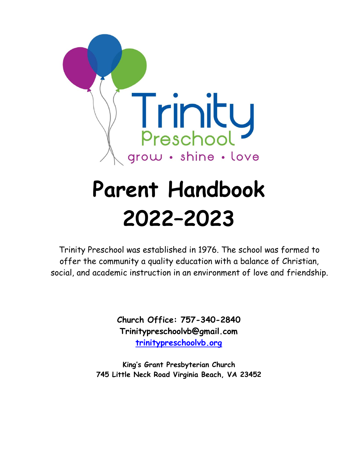

# **Parent Handbook 2022–2023**

Trinity Preschool was established in 1976. The school was formed to offer the community a quality education with a balance of Christian, social, and academic instruction in an environment of love and friendship.

> **Church Office: 757-340-2840 Trinitypreschoolvb@gmail.com [trinitypreschoolvb.org](https://www.trinitypreschoolvb.org/)**

**King's Grant Presbyterian Church 745 Little Neck Road Virginia Beach, VA 23452**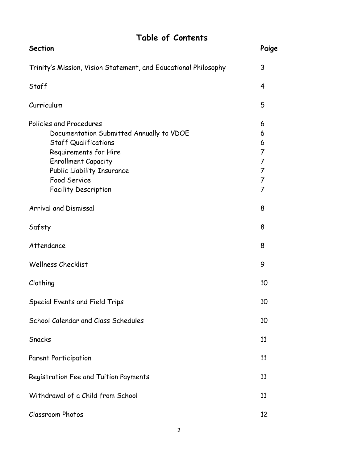#### **Table of Contents**

| <b>Section</b>                                                                                                                                                                                                                         | Paige                                                                                    |
|----------------------------------------------------------------------------------------------------------------------------------------------------------------------------------------------------------------------------------------|------------------------------------------------------------------------------------------|
| Trinity's Mission, Vision Statement, and Educational Philosophy                                                                                                                                                                        | 3                                                                                        |
| Staff                                                                                                                                                                                                                                  | 4                                                                                        |
| Curriculum                                                                                                                                                                                                                             | 5                                                                                        |
| Policies and Procedures<br>Documentation Submitted Annually to VDOE<br><b>Staff Qualifications</b><br>Requirements for Hire<br><b>Enrollment Capacity</b><br>Public Liability Insurance<br>Food Service<br><b>Facility Description</b> | 6<br>6<br>6<br>7<br>$\overline{7}$<br>$\overline{7}$<br>$\overline{7}$<br>$\overline{7}$ |
| <b>Arrival and Dismissal</b>                                                                                                                                                                                                           | 8                                                                                        |
| Safety                                                                                                                                                                                                                                 | 8                                                                                        |
| Attendance                                                                                                                                                                                                                             | 8                                                                                        |
| <b>Wellness Checklist</b>                                                                                                                                                                                                              | 9                                                                                        |
| Clothing                                                                                                                                                                                                                               | 10                                                                                       |
| Special Events and Field Trips                                                                                                                                                                                                         | 10                                                                                       |
| School Calendar and Class Schedules                                                                                                                                                                                                    | 10                                                                                       |
| Snacks                                                                                                                                                                                                                                 | 11                                                                                       |
| <b>Parent Participation</b>                                                                                                                                                                                                            | 11                                                                                       |
| Registration Fee and Tuition Payments                                                                                                                                                                                                  | 11                                                                                       |
| Withdrawal of a Child from School                                                                                                                                                                                                      | 11                                                                                       |
| <b>Classroom Photos</b>                                                                                                                                                                                                                | 12                                                                                       |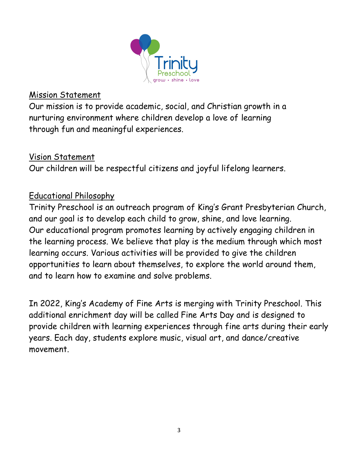

#### Mission Statement

Our mission is to provide academic, social, and Christian growth in a nurturing environment where children develop a love of learning through fun and meaningful experiences.

#### Vision Statement

Our children will be respectful citizens and joyful lifelong learners.

#### Educational Philosophy

Trinity Preschool is an outreach program of King's Grant Presbyterian Church, and our goal is to develop each child to grow, shine, and love learning. Our educational program promotes learning by actively engaging children in the learning process. We believe that play is the medium through which most learning occurs. Various activities will be provided to give the children opportunities to learn about themselves, to explore the world around them, and to learn how to examine and solve problems.

In 2022, King's Academy of Fine Arts is merging with Trinity Preschool. This additional enrichment day will be called Fine Arts Day and is designed to provide children with learning experiences through fine arts during their early years. Each day, students explore music, visual art, and dance/creative movement.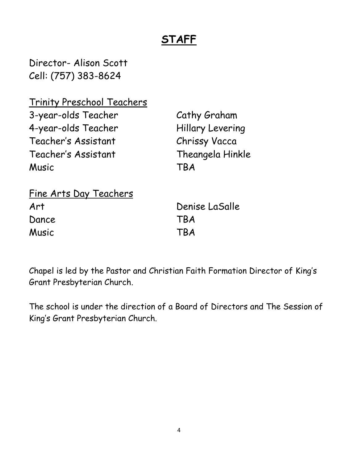## **STAFF**

Director- Alison Scott Cell: (757) 383-8624

Trinity Preschool Teachers 3-year-olds Teacher Cathy Graham 4-year-olds Teacher Hillary Levering Teacher's Assistant Chrissy Vacca Teacher's Assistant Theangela Hinkle Music TBA

| Fine Arts Day Teachers |            |
|------------------------|------------|
| Art                    | Deni       |
| Dance                  | <b>TBA</b> |
| Music                  | <b>TBA</b> |

Denise LaSalle

Chapel is led by the Pastor and Christian Faith Formation Director of King's Grant Presbyterian Church.

The school is under the direction of a Board of Directors and The Session of King's Grant Presbyterian Church.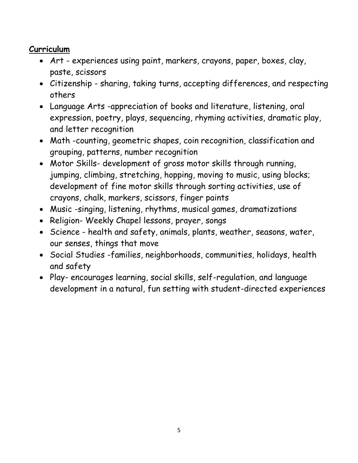#### **Curriculum**

- Art experiences using paint, markers, crayons, paper, boxes, clay, paste, scissors
- Citizenship sharing, taking turns, accepting differences, and respecting others
- Language Arts -appreciation of books and literature, listening, oral expression, poetry, plays, sequencing, rhyming activities, dramatic play, and letter recognition
- Math -counting, geometric shapes, coin recognition, classification and grouping, patterns, number recognition
- Motor Skills- development of gross motor skills through running, jumping, climbing, stretching, hopping, moving to music, using blocks; development of fine motor skills through sorting activities, use of crayons, chalk, markers, scissors, finger paints
- Music -singing, listening, rhythms, musical games, dramatizations
- Religion- Weekly Chapel lessons, prayer, songs
- Science health and safety, animals, plants, weather, seasons, water, our senses, things that move
- Social Studies -families, neighborhoods, communities, holidays, health and safety
- Play- encourages learning, social skills, self-regulation, and language development in a natural, fun setting with student-directed experiences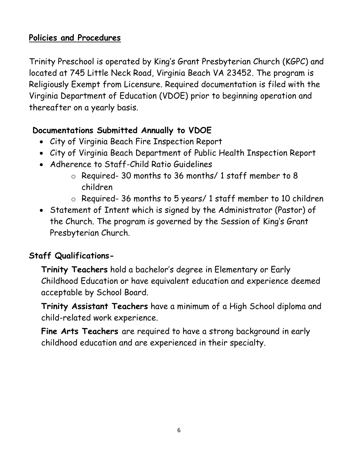#### **Policies and Procedures**

Trinity Preschool is operated by King's Grant Presbyterian Church (KGPC) and located at 745 Little Neck Road, Virginia Beach VA 23452. The program is Religiously Exempt from Licensure. Required documentation is filed with the Virginia Department of Education (VDOE) prior to beginning operation and thereafter on a yearly basis.

#### **Documentations Submitted Annually to VDOE**

- City of Virginia Beach Fire Inspection Report
- City of Virginia Beach Department of Public Health Inspection Report
- Adherence to Staff-Child Ratio Guidelines
	- o Required- 30 months to 36 months/ 1 staff member to 8 children
	- o Required- 36 months to 5 years/ 1 staff member to 10 children
- Statement of Intent which is signed by the Administrator (Pastor) of the Church. The program is governed by the Session of King's Grant Presbyterian Church.

#### **Staff Qualifications-**

**Trinity Teachers** hold a bachelor's degree in Elementary or Early Childhood Education or have equivalent education and experience deemed acceptable by School Board.

**Trinity Assistant Teachers** have a minimum of a High School diploma and child-related work experience.

**Fine Arts Teachers** are required to have a strong background in early childhood education and are experienced in their specialty.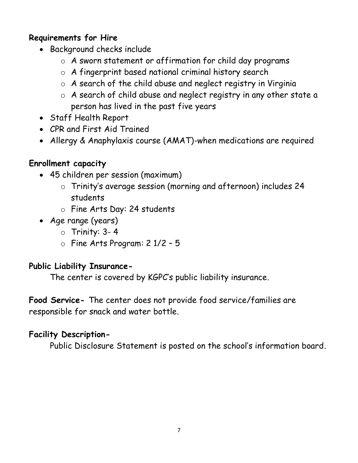#### **Requirements for Hire**

- Background checks include
	- o A sworn statement or affirmation for child day programs
	- o A fingerprint based national criminal history search
	- o A search of the child abuse and neglect registry in Virginia
	- o A search of child abuse and neglect registry in any other state a person has lived in the past five years
- Staff Health Report
- CPR and First Aid Trained
- Allergy & Anaphylaxis course (AMAT)-when medications are required

#### **Enrollment capacity**

- 45 children per session (maximum)
	- o Trinity's average session (morning and afternoon) includes 24 students
	- o Fine Arts Day: 24 students
- Age range (years)
	- $\circ$  Trinity: 3-4
	- o Fine Arts Program: 2 1/2 5

#### **Public Liability Insurance-**

The center is covered by KGPC's public liability insurance.

**Food Service-** The center does not provide food service/families are responsible for snack and water bottle.

#### **Facility Description-**

Public Disclosure Statement is posted on the school's information board.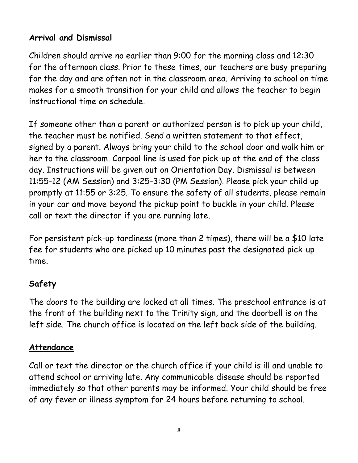#### **Arrival and Dismissal**

Children should arrive no earlier than 9:00 for the morning class and 12:30 for the afternoon class. Prior to these times, our teachers are busy preparing for the day and are often not in the classroom area. Arriving to school on time makes for a smooth transition for your child and allows the teacher to begin instructional time on schedule.

If someone other than a parent or authorized person is to pick up your child, the teacher must be notified. Send a written statement to that effect, signed by a parent. Always bring your child to the school door and walk him or her to the classroom. Carpool line is used for pick-up at the end of the class day. Instructions will be given out on Orientation Day. Dismissal is between 11:55-12 (AM Session) and 3:25-3:30 (PM Session). Please pick your child up promptly at 11:55 or 3:25. To ensure the safety of all students, please remain in your car and move beyond the pickup point to buckle in your child. Please call or text the director if you are running late.

For persistent pick-up tardiness (more than 2 times), there will be a \$10 late fee for students who are picked up 10 minutes past the designated pick-up time.

#### **Safety**

The doors to the building are locked at all times. The preschool entrance is at the front of the building next to the Trinity sign, and the doorbell is on the left side. The church office is located on the left back side of the building.

#### **Attendance**

Call or text the director or the church office if your child is ill and unable to attend school or arriving late. Any communicable disease should be reported immediately so that other parents may be informed. Your child should be free of any fever or illness symptom for 24 hours before returning to school.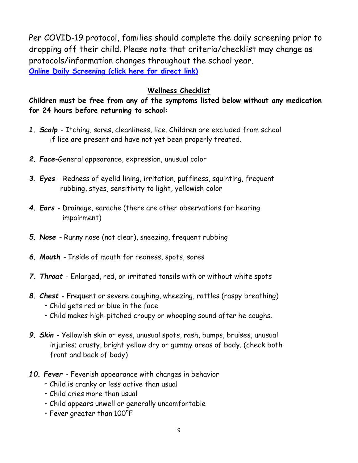Per COVID-19 protocol, families should complete the daily screening prior to dropping off their child. Please note that criteria/checklist may change as protocols/information changes throughout the school year. **[Online Daily Screening](https://forms.gle/r7pNudpJxfim5Wfu5) (click here for direct link)**

#### **Wellness Checklist**

**Children must be free from any of the symptoms listed below without any medication for 24 hours before returning to school:**

- *1. Scalp*  Itching, sores, cleanliness, lice. Children are excluded from school if lice are present and have not yet been properly treated.
- *2. Face*-General appearance, expression, unusual color
- *3. Eyes*  Redness of eyelid lining, irritation, puffiness, squinting, frequent rubbing, styes, sensitivity to light, yellowish color
- *4. Ears*  Drainage, earache (there are other observations for hearing impairment)
- *5. Nose*  Runny nose (not clear), sneezing, frequent rubbing
- *6. Mouth*  Inside of mouth for redness, spots, sores
- *7. Throat*  Enlarged, red, or irritated tonsils with or without white spots
- *8. Chest*  Frequent or severe coughing, wheezing, rattles (raspy breathing) • Child gets red or blue in the face.
	- Child makes high-pitched croupy or whooping sound after he coughs.
- *9. Skin*  Yellowish skin or eyes, unusual spots, rash, bumps, bruises, unusual injuries; crusty, bright yellow dry or gummy areas of body. (check both front and back of body)
- *10. Fever*  Feverish appearance with changes in behavior
	- Child is cranky or less active than usual
	- Child cries more than usual
	- Child appears unwell or generally uncomfortable
	- Fever greater than 100°F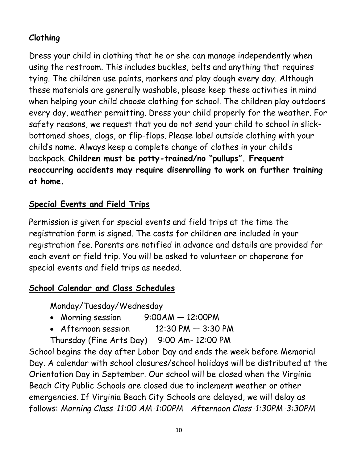#### **Clothing**

Dress your child in clothing that he or she can manage independently when using the restroom. This includes buckles, belts and anything that requires tying. The children use paints, markers and play dough every day. Although these materials are generally washable, please keep these activities in mind when helping your child choose clothing for school. The children play outdoors every day, weather permitting. Dress your child properly for the weather. For safety reasons, we request that you do not send your child to school in slickbottomed shoes, clogs, or flip-flops. Please label outside clothing with your child's name. Always keep a complete change of clothes in your child's backpack. **Children must be potty-trained/no "pullups". Frequent reoccurring accidents may require disenrolling to work on further training at home.**

#### **Special Events and Field Trips**

Permission is given for special events and field trips at the time the registration form is signed. The costs for children are included in your registration fee. Parents are notified in advance and details are provided for each event or field trip. You will be asked to volunteer or chaperone for special events and field trips as needed.

#### **School Calendar and Class Schedules**

Monday/Tuesday/Wednesday

- Morning session 9:00AM 12:00PM
- Afternoon session  $12:30 \text{ PM} 3:30 \text{ PM}$
- Thursday (Fine Arts Day) 9:00 Am- 12:00 PM

School begins the day after Labor Day and ends the week before Memorial Day. A calendar with school closures/school holidays will be distributed at the Orientation Day in September. Our school will be closed when the Virginia Beach City Public Schools are closed due to inclement weather or other emergencies. If Virginia Beach City Schools are delayed, we will delay as follows: *Morning Class-11:00 AM-1:00PM Afternoon Class-1:30PM-3:30PM*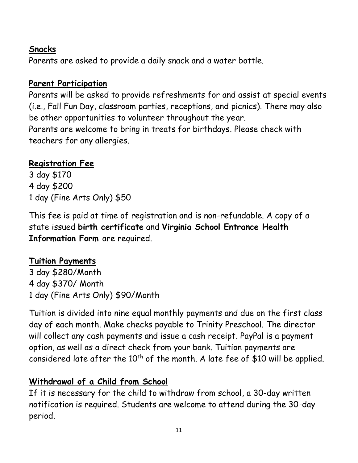#### **Snacks**

Parents are asked to provide a daily snack and a water bottle.

#### **Parent Participation**

Parents will be asked to provide refreshments for and assist at special events (i.e., Fall Fun Day, classroom parties, receptions, and picnics). There may also be other opportunities to volunteer throughout the year. Parents are welcome to bring in treats for birthdays. Please check with teachers for any allergies.

#### **Registration Fee**

3 day \$170 4 day \$200 1 day (Fine Arts Only) \$50

This fee is paid at time of registration and is non-refundable. A copy of a state issued **birth certificate** and **Virginia School Entrance Health Information Form** are required.

#### **Tuition Payments**

3 day \$280/Month 4 day \$370/ Month 1 day (Fine Arts Only) \$90/Month

Tuition is divided into nine equal monthly payments and due on the first class day of each month. Make checks payable to Trinity Preschool. The director will collect any cash payments and issue a cash receipt. PayPal is a payment option, as well as a direct check from your bank. Tuition payments are considered late after the  $10<sup>th</sup>$  of the month. A late fee of \$10 will be applied.

#### **Withdrawal of a Child from School**

If it is necessary for the child to withdraw from school, a 30-day written notification is required. Students are welcome to attend during the 30-day period.